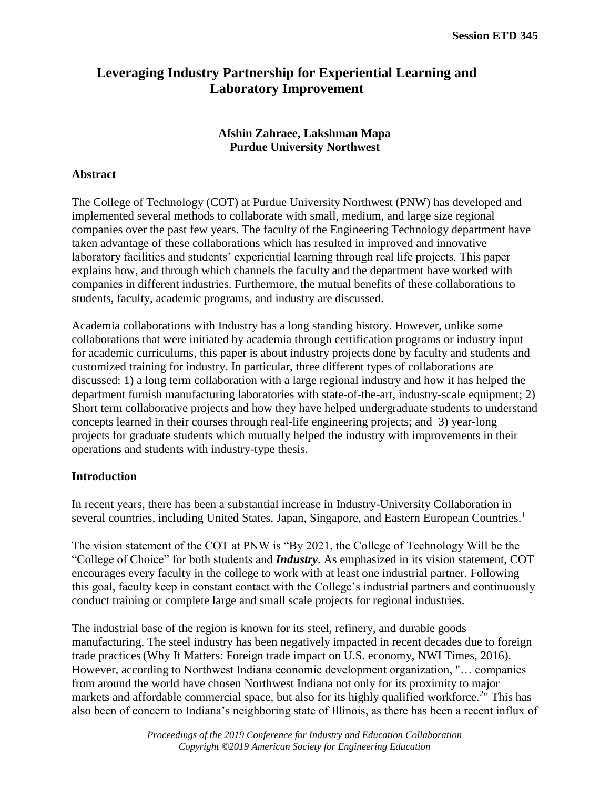# **Leveraging Industry Partnership for Experiential Learning and Laboratory Improvement**

# **Afshin Zahraee, Lakshman Mapa Purdue University Northwest**

# **Abstract**

The College of Technology (COT) at Purdue University Northwest (PNW) has developed and implemented several methods to collaborate with small, medium, and large size regional companies over the past few years. The faculty of the Engineering Technology department have taken advantage of these collaborations which has resulted in improved and innovative laboratory facilities and students' experiential learning through real life projects. This paper explains how, and through which channels the faculty and the department have worked with companies in different industries. Furthermore, the mutual benefits of these collaborations to students, faculty, academic programs, and industry are discussed.

Academia collaborations with Industry has a long standing history. However, unlike some collaborations that were initiated by academia through certification programs or industry input for academic curriculums, this paper is about industry projects done by faculty and students and customized training for industry. In particular, three different types of collaborations are discussed: 1) a long term collaboration with a large regional industry and how it has helped the department furnish manufacturing laboratories with state-of-the-art, industry-scale equipment; 2) Short term collaborative projects and how they have helped undergraduate students to understand concepts learned in their courses through real-life engineering projects; and 3) year-long projects for graduate students which mutually helped the industry with improvements in their operations and students with industry-type thesis.

## **Introduction**

In recent years, there has been a substantial increase in Industry-University Collaboration in several countries, including United States, Japan, Singapore, and Eastern European Countries.<sup>1</sup>

The vision statement of the COT at PNW is "By 2021, the College of Technology Will be the "College of Choice" for both students and *Industry*. As emphasized in its vision statement, COT encourages every faculty in the college to work with at least one industrial partner. Following this goal, faculty keep in constant contact with the College's industrial partners and continuously conduct training or complete large and small scale projects for regional industries.

The industrial base of the region is known for its steel, refinery, and durable goods manufacturing. The steel industry has been negatively impacted in recent decades due to foreign trade practices(Why It Matters: Foreign trade impact on U.S. economy, NWI Times, 2016). However, according to Northwest Indiana economic development organization, "… companies from around the world have chosen Northwest Indiana not only for its proximity to major markets and affordable commercial space, but also for its highly qualified workforce.<sup>2</sup>" This has also been of concern to Indiana's neighboring state of Illinois, as there has been a recent influx of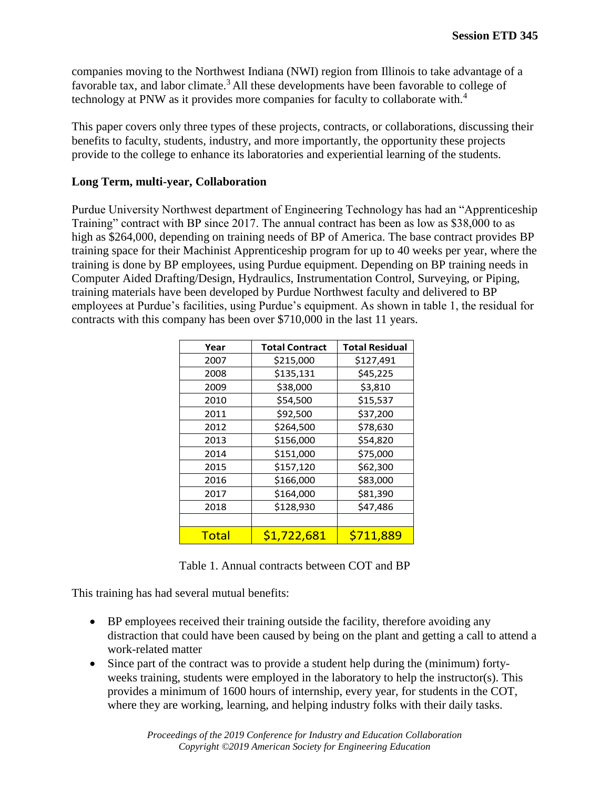companies moving to the Northwest Indiana (NWI) region from Illinois to take advantage of a favorable tax, and labor climate.<sup>3</sup> All these developments have been favorable to college of technology at PNW as it provides more companies for faculty to collaborate with.<sup>4</sup>

This paper covers only three types of these projects, contracts, or collaborations, discussing their benefits to faculty, students, industry, and more importantly, the opportunity these projects provide to the college to enhance its laboratories and experiential learning of the students.

# **Long Term, multi-year, Collaboration**

Purdue University Northwest department of Engineering Technology has had an "Apprenticeship Training" contract with BP since 2017. The annual contract has been as low as \$38,000 to as high as \$264,000, depending on training needs of BP of America. The base contract provides BP training space for their Machinist Apprenticeship program for up to 40 weeks per year, where the training is done by BP employees, using Purdue equipment. Depending on BP training needs in Computer Aided Drafting/Design, Hydraulics, Instrumentation Control, Surveying, or Piping, training materials have been developed by Purdue Northwest faculty and delivered to BP employees at Purdue's facilities, using Purdue's equipment. As shown in table 1, the residual for contracts with this company has been over \$710,000 in the last 11 years.

| Year         | <b>Total Contract</b><br><b>Total Residual</b> |           |  |
|--------------|------------------------------------------------|-----------|--|
| 2007         | \$215,000                                      | \$127,491 |  |
| 2008         | \$135,131                                      | \$45,225  |  |
| 2009         | \$38,000                                       | \$3,810   |  |
| 2010         | \$54,500                                       | \$15,537  |  |
| 2011         | \$92,500                                       | \$37,200  |  |
| 2012         | \$264,500                                      | \$78,630  |  |
| 2013         | \$156,000                                      | \$54,820  |  |
| 2014         | \$151,000                                      | \$75,000  |  |
| 2015         | \$157,120                                      | \$62,300  |  |
| 2016         | \$166,000                                      | \$83,000  |  |
| 2017         | \$164,000                                      | \$81,390  |  |
| 2018         | \$128,930                                      | \$47,486  |  |
|              |                                                |           |  |
| <b>Total</b> | \$1,722,681                                    | \$711,889 |  |

Table 1. Annual contracts between COT and BP

This training has had several mutual benefits:

- BP employees received their training outside the facility, therefore avoiding any distraction that could have been caused by being on the plant and getting a call to attend a work-related matter
- Since part of the contract was to provide a student help during the (minimum) fortyweeks training, students were employed in the laboratory to help the instructor(s). This provides a minimum of 1600 hours of internship, every year, for students in the COT, where they are working, learning, and helping industry folks with their daily tasks.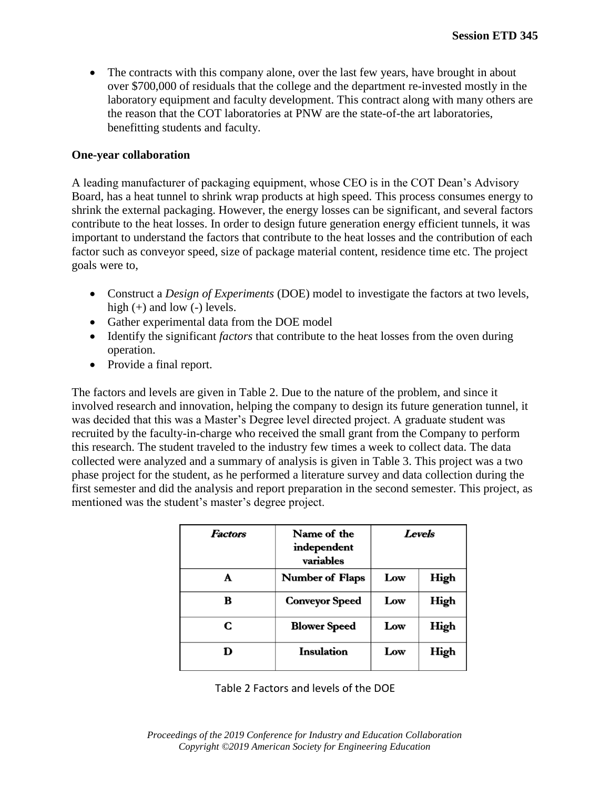• The contracts with this company alone, over the last few years, have brought in about over \$700,000 of residuals that the college and the department re-invested mostly in the laboratory equipment and faculty development. This contract along with many others are the reason that the COT laboratories at PNW are the state-of-the art laboratories, benefitting students and faculty.

## **One-year collaboration**

A leading manufacturer of packaging equipment, whose CEO is in the COT Dean's Advisory Board, has a heat tunnel to shrink wrap products at high speed. This process consumes energy to shrink the external packaging. However, the energy losses can be significant, and several factors contribute to the heat losses. In order to design future generation energy efficient tunnels, it was important to understand the factors that contribute to the heat losses and the contribution of each factor such as conveyor speed, size of package material content, residence time etc. The project goals were to,

- Construct a *Design of Experiments* (DOE) model to investigate the factors at two levels, high (+) and low (-) levels.
- Gather experimental data from the DOE model
- Identify the significant *factors* that contribute to the heat losses from the oven during operation.
- Provide a final report.

The factors and levels are given in Table 2. Due to the nature of the problem, and since it involved research and innovation, helping the company to design its future generation tunnel, it was decided that this was a Master's Degree level directed project. A graduate student was recruited by the faculty-in-charge who received the small grant from the Company to perform this research. The student traveled to the industry few times a week to collect data. The data collected were analyzed and a summary of analysis is given in Table 3. This project was a two phase project for the student, as he performed a literature survey and data collection during the first semester and did the analysis and report preparation in the second semester. This project, as mentioned was the student's master's degree project.

| <b>Factors</b> | Name of the<br>independent<br>variables | Levels |      |
|----------------|-----------------------------------------|--------|------|
|                | <b>Number of Flaps</b>                  | Low    | High |
| B              | <b>Conveyor Speed</b>                   | Low    | High |
| C              | <b>Blower Speed</b>                     | Low    | High |
|                | <b>Insulation</b>                       | Low    | High |

Table 2 Factors and levels of the DOE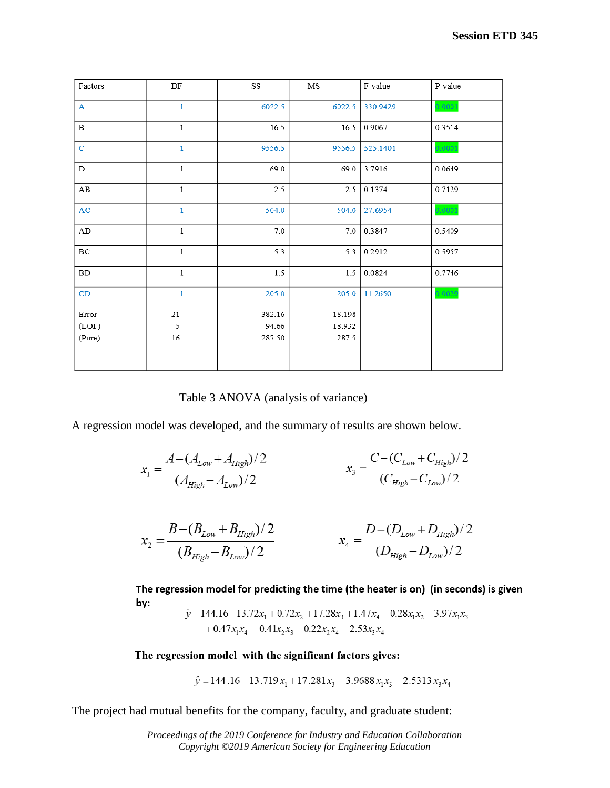| DF           | $_{\rm SS}$ | $_{\rm MS}$ | F-value  | P-value         |
|--------------|-------------|-------------|----------|-----------------|
| $\mathbf{1}$ | 6022.5      |             |          | 0.0001          |
| $\mathbf{1}$ | 16.5        | 16.5        | 0.9067   | 0.3514          |
| $\mathbf{1}$ | 9556.5      | 9556.5      | 525.1401 | 0.0001          |
| $\mathbf{1}$ | 69.0        | 69.0        | 3.7916   | 0.0649          |
| $\mathbf{1}$ | 2.5         | 2.5         | 0.1374   | 0.7129          |
| $\mathbf{1}$ | 504.0       | 504.0       | 27.6954  | 0.0001          |
| $\,1\,$      | 7.0         | 7.0         | 0.3847   | 0.5409          |
| $\mathbf{1}$ | 5.3         | 5.3         | 0.2912   | 0.5957          |
| $\mathbf{1}$ | 1.5         | 1.5         | 0.0824   | 0.7746          |
| $\mathbf{1}$ | 205.0       | 205.0       | 11.2650  | 0.0029          |
|              |             |             |          |                 |
| 5            | 94.66       | 18.932      |          |                 |
| $16\,$       | 287.50      | 287.5       |          |                 |
|              | $21\,$      | 382.16      | 18.198   | 6022.5 330.9429 |

Table 3 ANOVA (analysis of variance)

A regression model was developed, and the summary of results are shown below.

$$
x_1 = \frac{A - (A_{Low} + A_{High})/2}{(A_{High} - A_{Low})/2}
$$
  

$$
x_3 = \frac{C - (C_{Low} + C_{High})/2}{(C_{High} - C_{Low})/2}
$$

$$
x_2 = \frac{B - (B_{Low} + B_{High})/2}{(B_{High} - B_{Low})/2}
$$
  

$$
x_4 = \frac{D - (D_{Low} + D_{High})/2}{(D_{High} - D_{Low})/2}
$$

The regression model for predicting the time (the heater is on) (in seconds) is given by:

 $\hat{y} = 144.16 - 13.72x_1 + 0.72x_2 + 17.28x_3 + 1.47x_4 - 0.28x_1x_2 - 3.97x_1x_3$  $+0.47x_1x_4 - 0.41x_2x_3 - 0.22x_2x_4 - 2.53x_3x_4$ 

The regression model with the significant factors gives:

$$
\hat{y} = 144.16 - 13.719x_1 + 17.281x_3 - 3.9688x_1x_3 - 2.5313x_3x_4
$$

The project had mutual benefits for the company, faculty, and graduate student: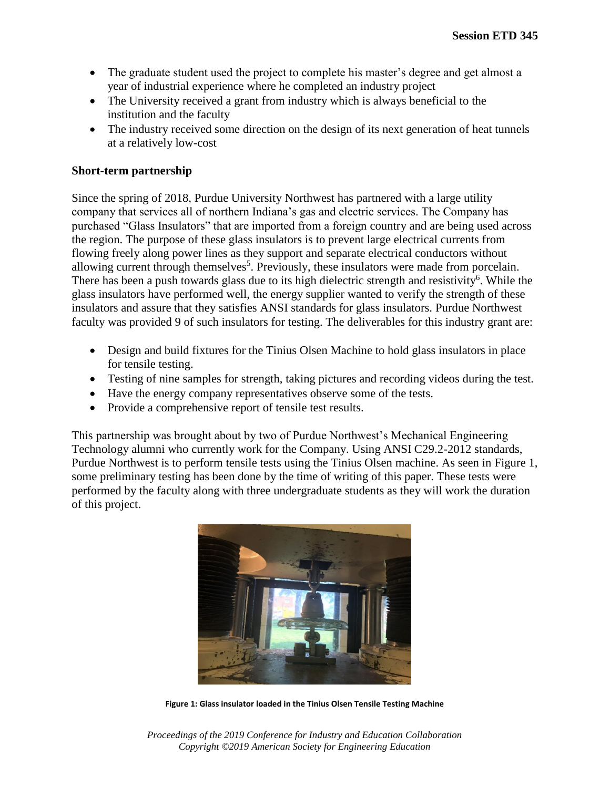- The graduate student used the project to complete his master's degree and get almost a year of industrial experience where he completed an industry project
- The University received a grant from industry which is always beneficial to the institution and the faculty
- The industry received some direction on the design of its next generation of heat tunnels at a relatively low-cost

# **Short-term partnership**

Since the spring of 2018, Purdue University Northwest has partnered with a large utility company that services all of northern Indiana's gas and electric services. The Company has purchased "Glass Insulators" that are imported from a foreign country and are being used across the region. The purpose of these glass insulators is to prevent large electrical currents from flowing freely along power lines as they support and separate electrical conductors without allowing current through themselves<sup>5</sup>. Previously, these insulators were made from porcelain. There has been a push towards glass due to its high dielectric strength and resistivity<sup>6</sup>. While the glass insulators have performed well, the energy supplier wanted to verify the strength of these insulators and assure that they satisfies ANSI standards for glass insulators. Purdue Northwest faculty was provided 9 of such insulators for testing. The deliverables for this industry grant are:

- Design and build fixtures for the Tinius Olsen Machine to hold glass insulators in place for tensile testing.
- Testing of nine samples for strength, taking pictures and recording videos during the test.
- Have the energy company representatives observe some of the tests.
- Provide a comprehensive report of tensile test results.

This partnership was brought about by two of Purdue Northwest's Mechanical Engineering Technology alumni who currently work for the Company. Using ANSI C29.2-2012 standards, Purdue Northwest is to perform tensile tests using the Tinius Olsen machine. As seen in Figure 1, some preliminary testing has been done by the time of writing of this paper. These tests were performed by the faculty along with three undergraduate students as they will work the duration of this project.



**Figure 1: Glass insulator loaded in the Tinius Olsen Tensile Testing Machine**

*Proceedings of the 2019 Conference for Industry and Education Collaboration Copyright ©2019 American Society for Engineering Education*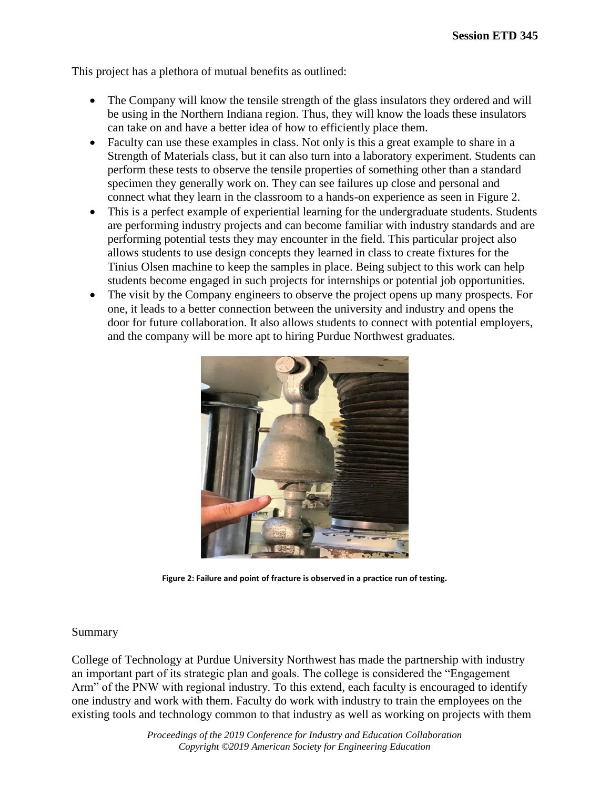This project has a plethora of mutual benefits as outlined:

- The Company will know the tensile strength of the glass insulators they ordered and will be using in the Northern Indiana region. Thus, they will know the loads these insulators can take on and have a better idea of how to efficiently place them.
- Faculty can use these examples in class. Not only is this a great example to share in a Strength of Materials class, but it can also turn into a laboratory experiment. Students can perform these tests to observe the tensile properties of something other than a standard specimen they generally work on. They can see failures up close and personal and connect what they learn in the classroom to a hands-on experience as seen in Figure 2.
- This is a perfect example of experiential learning for the undergraduate students. Students are performing industry projects and can become familiar with industry standards and are performing potential tests they may encounter in the field. This particular project also allows students to use design concepts they learned in class to create fixtures for the Tinius Olsen machine to keep the samples in place. Being subject to this work can help students become engaged in such projects for internships or potential job opportunities.
- The visit by the Company engineers to observe the project opens up many prospects. For one, it leads to a better connection between the university and industry and opens the door for future collaboration. It also allows students to connect with potential employers, and the company will be more apt to hiring Purdue Northwest graduates.



**Figure 2: Failure and point of fracture is observed in a practice run of testing.**

## Summary

College of Technology at Purdue University Northwest has made the partnership with industry an important part of its strategic plan and goals. The college is considered the "Engagement Arm" of the PNW with regional industry. To this extend, each faculty is encouraged to identify one industry and work with them. Faculty do work with industry to train the employees on the existing tools and technology common to that industry as well as working on projects with them

> *Proceedings of the 2019 Conference for Industry and Education Collaboration Copyright ©2019 American Society for Engineering Education*